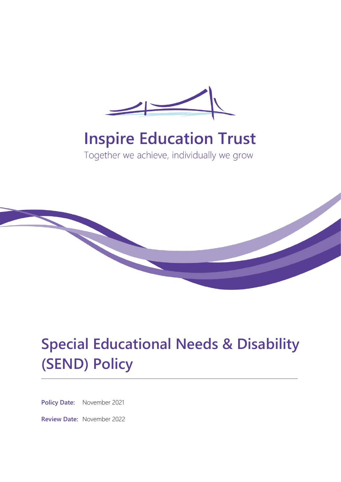

# **Inspire Education Trust**

Together we achieve, individually we grow



# **Special Educational Needs & Disability (SEND) Policy**

**Policy Date:** November 2021

**Review Date:** November 2022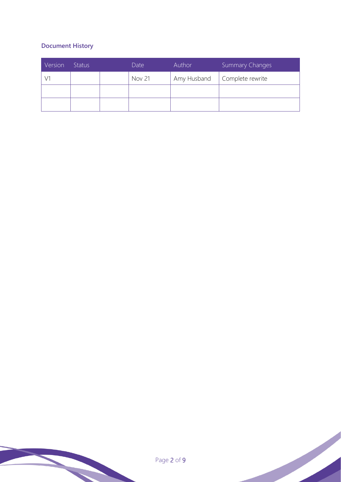# **Document History**

| Version | <b>Status</b> | Date          | Author      | Summary Changes  |
|---------|---------------|---------------|-------------|------------------|
|         |               | <b>Nov 21</b> | Amy Husband | Complete rewrite |
|         |               |               |             |                  |
|         |               |               |             |                  |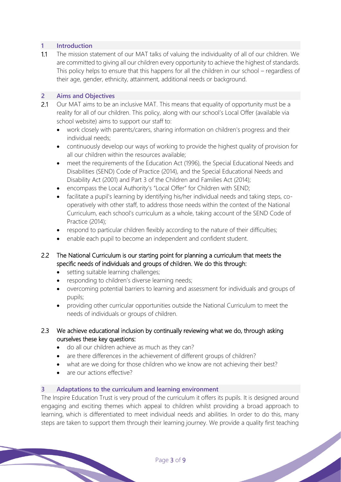# **1 Introduction**

1.1 The mission statement of our MAT talks of valuing the individuality of all of our children. We are committed to giving all our children every opportunity to achieve the highest of standards. This policy helps to ensure that this happens for all the children in our school – regardless of their age, gender, ethnicity, attainment, additional needs or background.

#### **2 Aims and Objectives**

- 2.1 Our MAT aims to be an inclusive MAT. This means that equality of opportunity must be a reality for all of our children. This policy, along with our school's Local Offer (available via school website) aims to support our staff to:
	- work closely with parents/carers, sharing information on children's progress and their individual needs;
	- continuously develop our ways of working to provide the highest quality of provision for all our children within the resources available;
	- meet the requirements of the Education Act (1996), the Special Educational Needs and Disabilities (SEND) Code of Practice (2014), and the Special Educational Needs and Disability Act (2001) and Part 3 of the Children and Families Act (2014);
	- encompass the Local Authority's "Local Offer" for Children with SEND;
	- facilitate a pupil's learning by identifying his/her individual needs and taking steps, cooperatively with other staff, to address those needs within the context of the National Curriculum, each school's curriculum as a whole, taking account of the SEND Code of Practice (2014);
	- respond to particular children flexibly according to the nature of their difficulties;
	- enable each pupil to become an independent and confident student.

# 2.2 The National Curriculum is our starting point for planning a curriculum that meets the specific needs of individuals and groups of children. We do this through:

- setting suitable learning challenges;
- responding to children's diverse learning needs;
- overcoming potential barriers to learning and assessment for individuals and groups of pupils;
- providing other curricular opportunities outside the National Curriculum to meet the needs of individuals or groups of children.
- 2.3 We achieve educational inclusion by continually reviewing what we do, through asking ourselves these key questions:
	- do all our children achieve as much as they can?
	- are there differences in the achievement of different groups of children?
	- what are we doing for those children who we know are not achieving their best?
	- are our actions effective?

#### **3 Adaptations to the curriculum and learning environment**

The Inspire Education Trust is very proud of the curriculum it offers its pupils. It is designed around engaging and exciting themes which appeal to children whilst providing a broad approach to learning, which is differentiated to meet individual needs and abilities. In order to do this, many steps are taken to support them through their learning journey. We provide a quality first teaching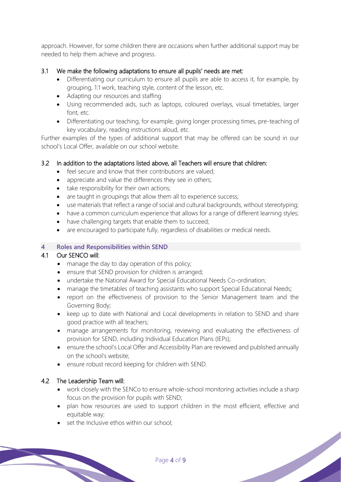approach. However, for some children there are occasions when further additional support may be needed to help them achieve and progress.

# 3.1 We make the following adaptations to ensure all pupils' needs are met:

- Differentiating our curriculum to ensure all pupils are able to access it, for example, by grouping, 1:1 work, teaching style, content of the lesson, etc.
- Adapting our resources and staffing
- Using recommended aids, such as laptops, coloured overlays, visual timetables, larger font, etc.
- Differentiating our teaching, for example, giving longer processing times, pre-teaching of key vocabulary, reading instructions aloud, etc.

Further examples of the types of additional support that may be offered can be sound in our school's Local Offer, available on our school website.

# 3.2 In addition to the adaptations listed above, all Teachers will ensure that children:

- feel secure and know that their contributions are valued;
- appreciate and value the differences they see in others;
- take responsibility for their own actions;
- are taught in groupings that allow them all to experience success;
- use materials that reflect a range of social and cultural backgrounds, without stereotyping;
- have a common curriculum experience that allows for a range of different learning styles;
- have challenging targets that enable them to succeed;
- are encouraged to participate fully, regardless of disabilities or medical needs.

#### **4 Roles and Responsibilities within SEND**

#### 4.1 Our SENCO will:

- manage the day to day operation of this policy;
- ensure that SEND provision for children is arranged;
- undertake the National Award for Special Educational Needs Co-ordination;
- manage the timetables of teaching assistants who support Special Educational Needs;
- report on the effectiveness of provision to the Senior Management team and the Governing Body;
- keep up to date with National and Local developments in relation to SEND and share good practice with all teachers;
- manage arrangements for monitoring, reviewing and evaluating the effectiveness of provision for SEND, including Individual Education Plans (IEPs);
- ensure the school's Local Offer and Accessibility Plan are reviewed and published annually on the school's website;
- ensure robust record keeping for children with SEND.

#### 4.2 The Leadership Team will:

- work closely with the SENCo to ensure whole-school monitoring activities include a sharp focus on the provision for pupils with SEND;
- plan how resources are used to support children in the most efficient, effective and equitable way;

set the Inclusive ethos within our school: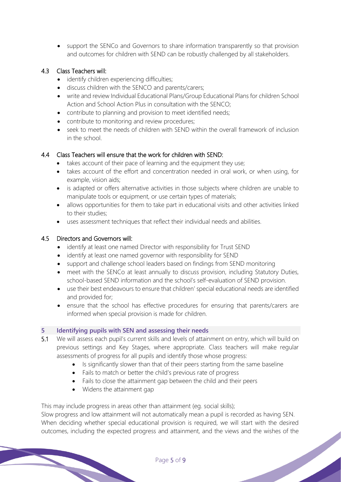• support the SENCo and Governors to share information transparently so that provision and outcomes for children with SEND can be robustly challenged by all stakeholders.

#### 4.3 Class Teachers will:

- identify children experiencing difficulties;
- discuss children with the SENCO and parents/carers;
- write and review Individual Educational Plans/Group Educational Plans for children School Action and School Action Plus in consultation with the SENCO;
- contribute to planning and provision to meet identified needs;
- contribute to monitoring and review procedures;
- seek to meet the needs of children with SEND within the overall framework of inclusion in the school.

# 4.4 Class Teachers will ensure that the work for children with SEND:

- takes account of their pace of learning and the equipment they use;
- takes account of the effort and concentration needed in oral work, or when using, for example, vision aids;
- is adapted or offers alternative activities in those subjects where children are unable to manipulate tools or equipment, or use certain types of materials;
- allows opportunities for them to take part in educational visits and other activities linked to their studies;
- uses assessment techniques that reflect their individual needs and abilities.

#### 4.5 Directors and Governors will:

- identify at least one named Director with responsibility for Trust SEND
- identify at least one named governor with responsibility for SEND
- support and challenge school leaders based on findings from SEND monitoring
- meet with the SENCo at least annually to discuss provision, including Statutory Duties, school-based SEND information and the school's self-evaluation of SEND provision.
- use their best endeavours to ensure that children' special educational needs are identified and provided for;
- ensure that the school has effective procedures for ensuring that parents/carers are informed when special provision is made for children.

#### **5 Identifying pupils with SEN and assessing their needs**

- 5.1 We will assess each pupil's current skills and levels of attainment on entry, which will build on previous settings and Key Stages, where appropriate. Class teachers will make regular assessments of progress for all pupils and identify those whose progress:
	- Is significantly slower than that of their peers starting from the same baseline
	- Fails to match or better the child's previous rate of progress
	- Fails to close the attainment gap between the child and their peers
	- Widens the attainment gap

This may include progress in areas other than attainment (eg. social skills);

Slow progress and low attainment will not automatically mean a pupil is recorded as having SEN. When deciding whether special educational provision is required, we will start with the desired outcomes, including the expected progress and attainment, and the views and the wishes of the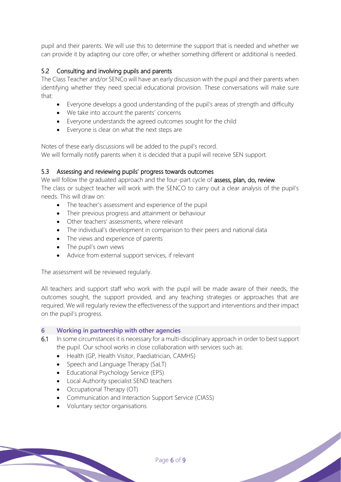pupil and their parents. We will use this to determine the support that is needed and whether we can provide it by adapting our core offer, or whether something different or additional is needed.

# 5.2 Consulting and involving pupils and parents

The Class Teacher and/or SENCo will have an early discussion with the pupil and their parents when identifying whether they need special educational provision. These conversations will make sure that:

- Everyone develops a good understanding of the pupil's areas of strength and difficulty
- We take into account the parents' concerns
- Everyone understands the agreed outcomes sought for the child
- Everyone is clear on what the next steps are

Notes of these early discussions will be added to the pupil's record.

We will formally notify parents when it is decided that a pupil will receive SEN support.

#### 5.3 Assessing and reviewing pupils' progress towards outcomes

We will follow the graduated approach and the four-part cycle of assess, plan, do, review. The class or subject teacher will work with the SENCO to carry out a clear analysis of the pupil's needs. This will draw on:

- The teacher's assessment and experience of the pupil
- Their previous progress and attainment or behaviour
- Other teachers' assessments, where relevant
- The individual's development in comparison to their peers and national data
- The views and experience of parents
- The pupil's own views
- Advice from external support services, if relevant

The assessment will be reviewed regularly.

All teachers and support staff who work with the pupil will be made aware of their needs, the outcomes sought, the support provided, and any teaching strategies or approaches that are required. We will regularly review the effectiveness of the support and interventions and their impact on the pupil's progress.

#### **6 Working in partnership with other agencies**

6.1 In some circumstances it is necessary for a multi-disciplinary approach in order to best support the pupil. Our school works in close collaboration with services such as:

- Health (GP, Health Visitor, Paediatrician, CAMHS)
- Speech and Language Therapy (SaLT)
- Educational Psychology Service (EPS)
- Local Authority specialist SEND teachers
- Occupational Therapy (OT)
- Communication and Interaction Support Service (CIASS)
- Voluntary sector organisations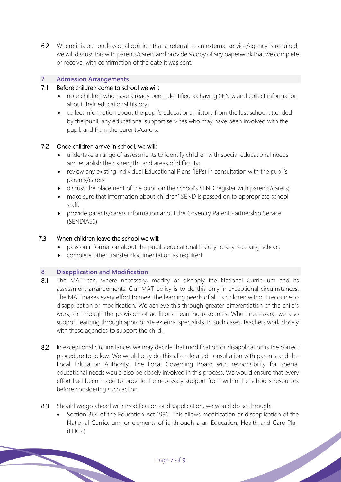6.2 Where it is our professional opinion that a referral to an external service/agency is required, we will discuss this with parents/carers and provide a copy of any paperwork that we complete or receive, with confirmation of the date it was sent.

#### **7 Admission Arrangements**

#### 7.1 Before children come to school we will:

- note children who have already been identified as having SEND, and collect information about their educational history;
- collect information about the pupil's educational history from the last school attended by the pupil, any educational support services who may have been involved with the pupil, and from the parents/carers.

#### 7.2 Once children arrive in school, we will:

- undertake a range of assessments to identify children with special educational needs and establish their strengths and areas of difficulty;
- review any existing Individual Educational Plans (IEPs) in consultation with the pupil's parents/carers;
- discuss the placement of the pupil on the school's SEND register with parents/carers;
- make sure that information about children' SEND is passed on to appropriate school staff;
- provide parents/carers information about the Coventry Parent Partnership Service (SENDIASS)

#### 7.3 When children leave the school we will:

- pass on information about the pupil's educational history to any receiving school;
- complete other transfer documentation as required.

#### **8 Disapplication and Modification**

- 8.1 The MAT can, where necessary, modify or disapply the National Curriculum and its assessment arrangements. Our MAT policy is to do this only in exceptional circumstances. The MAT makes every effort to meet the learning needs of all its children without recourse to disapplication or modification. We achieve this through greater differentiation of the child's work, or through the provision of additional learning resources. When necessary, we also support learning through appropriate external specialists. In such cases, teachers work closely with these agencies to support the child.
- 8.2 In exceptional circumstances we may decide that modification or disapplication is the correct procedure to follow. We would only do this after detailed consultation with parents and the Local Education Authority. The Local Governing Board with responsibility for special educational needs would also be closely involved in this process. We would ensure that every effort had been made to provide the necessary support from within the school's resources before considering such action.
- 8.3 Should we go ahead with modification or disapplication, we would do so through:
	- Section 364 of the Education Act 1996. This allows modification or disapplication of the National Curriculum, or elements of it, through a an Education, Health and Care Plan (EHCP)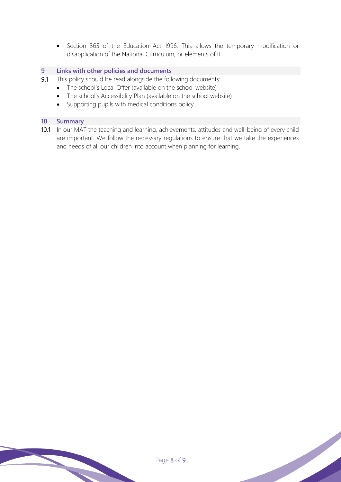• Section 365 of the Education Act 1996. This allows the temporary modification or disapplication of the National Curriculum, or elements of it.

#### **9 Links with other policies and documents**

- 9.1 This policy should be read alongside the following documents:
	- The school's Local Offer (available on the school website)
	- The school's Accessibility Plan (available on the school website)
	- Supporting pupils with medical conditions policy

#### **10 Summary**

10.1 In our MAT the teaching and learning, achievements, attitudes and well-being of every child are important. We follow the necessary regulations to ensure that we take the experiences and needs of all our children into account when planning for learning.